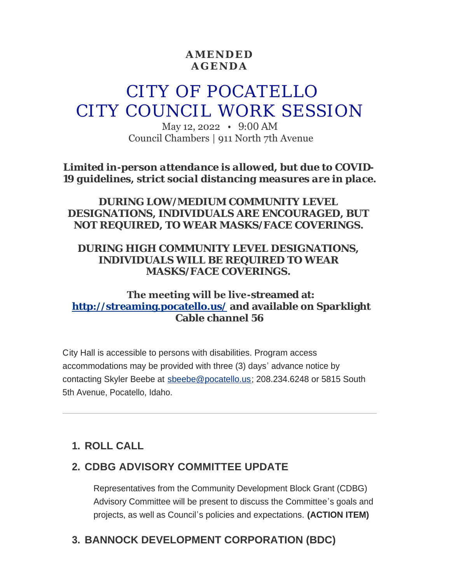### **AMENDED AGENDA**

# CITY OF POCATELLO CITY COUNCIL WORK SESSION

May 12, 2022 • 9:00 AM Council Chambers | 911 North 7th Avenue

*Limited in-person attendance is allowed, but due to COVID-19 guidelines, strict social distancing measures are in place.*

### *DURING LOW/MEDIUM COMMUNITY LEVEL DESIGNATIONS, INDIVIDUALS ARE ENCOURAGED, BUT NOT REQUIRED, TO WEAR MASKS/FACE COVERINGS.*

#### *DURING HIGH COMMUNITY LEVEL DESIGNATIONS, INDIVIDUALS WILL BE REQUIRED TO WEAR MASKS/FACE COVERINGS.*

### **The meeting will be live-streamed at: <http://streaming.pocatello.us/> and available on Sparklight Cable channel 56**

City Hall is accessible to persons with disabilities. Program access accommodations may be provided with three (3) days' advance notice by contacting Skyler Beebe at [sbeebe@pocatello.us;](mailto:sbeebe@pocatello.us) 208.234.6248 or 5815 South 5th Avenue, Pocatello, Idaho.

# **ROLL CALL 1.**

## **CDBG ADVISORY COMMITTEE UPDATE 2.**

Representatives from the Community Development Block Grant (CDBG) Advisory Committee will be present to discuss the Committee's goals and projects, as well as Council's policies and expectations. **(ACTION ITEM)**

# **BANNOCK DEVELOPMENT CORPORATION (BDC) 3.**